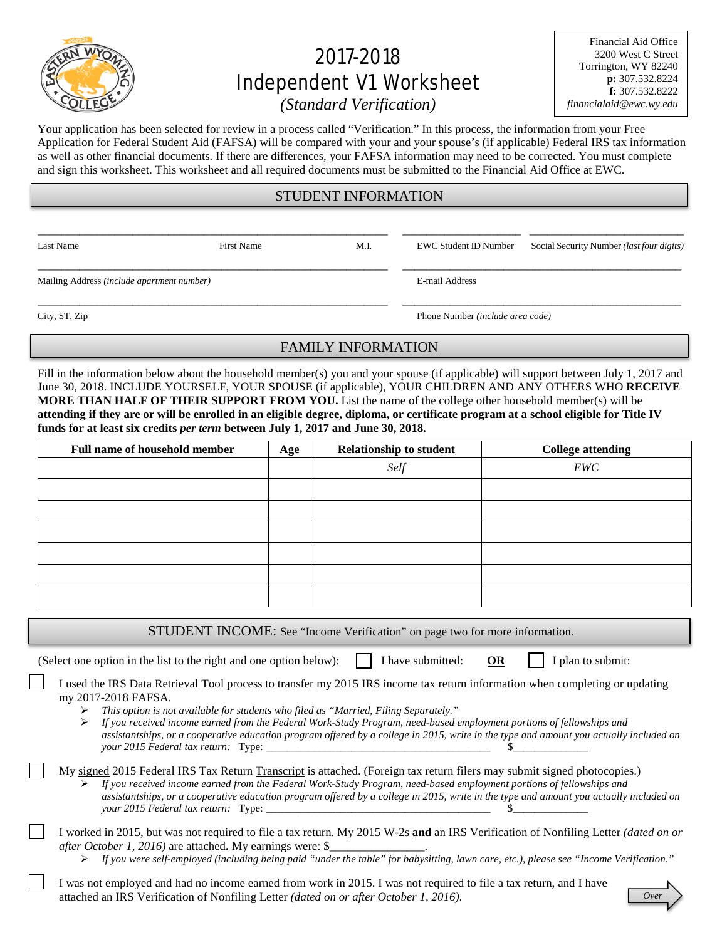

# 2017-2018 Independent V1 Worksheet

Financial Aid Office 3200 West C Street Torrington, WY 82240 **p:** 307.532.8224 **f:** 307.532.8222 *financialaid@ewc.wy.edu*

*(Standard Verification)* 

Your application has been selected for review in a process called "Verification." In this process, the information from your Free Application for Federal Student Aid (FAFSA) will be compared with your and your spouse's (if applicable) Federal IRS tax information as well as other financial documents. If there are differences, your FAFSA information may need to be corrected. You must complete and sign this worksheet. This worksheet and all required documents must be submitted to the Financial Aid Office at EWC.

## STUDENT INFORMATION

\_\_\_\_\_\_\_\_\_\_\_\_\_\_\_\_\_\_\_\_\_\_\_\_\_\_\_\_\_\_\_\_\_\_\_\_\_\_\_\_\_\_\_\_\_\_\_\_\_\_\_\_\_\_\_\_\_\_\_ \_\_\_\_\_\_\_\_\_\_\_\_\_\_\_\_\_\_\_\_ \_\_\_\_\_\_\_\_\_\_\_\_\_\_\_\_\_\_\_\_\_\_\_\_\_\_

\_\_\_\_\_\_\_\_\_\_\_\_\_\_\_\_\_\_\_\_\_\_\_\_\_\_\_\_\_\_\_\_\_\_\_\_\_\_\_\_\_\_\_\_\_\_\_\_\_\_\_\_\_\_\_\_\_\_\_ \_\_\_\_\_\_\_\_\_\_\_\_\_\_\_\_\_\_\_\_\_\_\_\_\_\_\_\_\_\_\_\_\_\_\_\_\_\_\_\_\_\_\_\_\_\_\_ Mailing Address *(include apartment number)* E-mail Address

Last Name First Name First Name M.I. EWC Student ID Number Social Security Number *(last four digits)* 

\_\_\_\_\_\_\_\_\_\_\_\_\_\_\_\_\_\_\_\_\_\_\_\_\_\_\_\_\_\_\_\_\_\_\_\_\_\_\_\_\_\_\_\_\_\_\_\_\_\_\_\_\_\_\_\_\_\_\_ \_\_\_\_\_\_\_\_\_\_\_\_\_\_\_\_\_\_\_\_\_\_\_\_\_\_\_\_\_\_\_\_\_\_\_\_\_\_\_\_\_\_\_\_\_\_\_

City, ST, Zip Phone Number *(include area code)* 

# FAMILY INFORMATION

Fill in the information below about the household member(s) you and your spouse (if applicable) will support between July 1, 2017 and June 30, 2018. INCLUDE YOURSELF, YOUR SPOUSE (if applicable), YOUR CHILDREN AND ANY OTHERS WHO **RECEIVE MORE THAN HALF OF THEIR SUPPORT FROM YOU.** List the name of the college other household member(s) will be **attending if they are or will be enrolled in an eligible degree, diploma, or certificate program at a school eligible for Title IV funds for at least six credits** *per term* **between July 1, 2017 and June 30, 2018.**

| <b>Full name of household member</b> | Age | <b>Relationship to student</b> | <b>College attending</b> |
|--------------------------------------|-----|--------------------------------|--------------------------|
|                                      |     | Self                           | EWC                      |
|                                      |     |                                |                          |
|                                      |     |                                |                          |
|                                      |     |                                |                          |
|                                      |     |                                |                          |
|                                      |     |                                |                          |
|                                      |     |                                |                          |

STUDENT INCOME: See "Income Verification" on page two for more information.

(Select one option in the list to the right and one option below):  $\parallel$  I have submitted: **OR** I plan to submit:

I used the IRS Data Retrieval Tool process to transfer my 2015 IRS income tax return information when completing or updating my 2017-2018 FAFSA.

- *This option is not available for students who filed as "Married, Filing Separately."*
- *If you received income earned from the Federal Work-Study Program, need-based employment portions of fellowships and assistantships, or a cooperative education program offered by a college in 2015, write in the type and amount you actually included on your 2015 Federal tax return:* Type:

#### My signed 2015 Federal IRS Tax Return Transcript is attached. (Foreign tax return filers may submit signed photocopies.) *If you received income earned from the Federal Work-Study Program, need-based employment portions of fellowships and*

*assistantships, or a cooperative education program offered by a college in 2015, write in the type and amount you actually included on your* 2015 Federal tax return: Type:

I worked in 2015, but was not required to file a tax return. My 2015 W-2s **and** an IRS Verification of Nonfiling Letter *(dated on or after October 1, 2016)* are attached. My earnings were: \$

*If you were self-employed (including being paid "under the table" for babysitting, lawn care, etc.), please see "Income Verification."*

I was not employed and had no income earned from work in 2015. I was not required to file a tax return, and I have attached an IRS Verification of Nonfiling Letter *(dated on or after October 1, 2016)*.